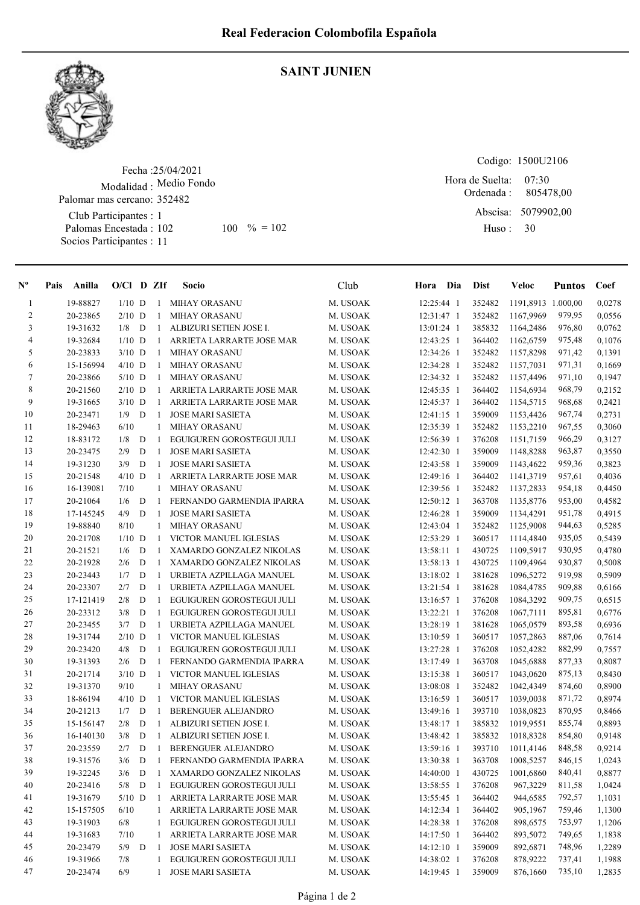

## SAINT JUNIEN

Fecha : 25/04/2021 Modalidad : Medio Fondo Club Participantes : 1 Palomas Encestada : Socios Participantes : 11 Palomar mas cercano: 352482 102 100 % = 102 Huso: 30

Codigo: 1500U2106 Ordenada : Abscisa: 5079902,00 Huso : 07:30 Hora de Suelta: 805478,00

| $\mathbf{N}^{\mathbf{o}}$ | Anilla<br>Pais | $O/Cl$ D ZIf     |   |              | Socio                     | Club                 | Hora Dia     | <b>Dist</b>      | Veloc              | <b>Puntos</b>    | Coef             |
|---------------------------|----------------|------------------|---|--------------|---------------------------|----------------------|--------------|------------------|--------------------|------------------|------------------|
| 1                         | 19-88827       | $1/10$ D         |   | 1            | <b>MIHAY ORASANU</b>      | M. USOAK             | 12:25:44 1   | 352482           | 1191,8913 1.000,00 |                  | 0,0278           |
| 2                         | 20-23865       | $2/10$ D         |   | 1            | <b>MIHAY ORASANU</b>      | M. USOAK             | 12:31:47 1   | 352482           | 1167,9969          | 979,95           | 0,0556           |
| 3                         | 19-31632       | $1/8$ D          |   | 1            | ALBIZURI SETIEN JOSE I.   | M. USOAK             | 13:01:24 1   | 385832           | 1164,2486          | 976,80           | 0,0762           |
| 4                         | 19-32684       | $1/10$ D         |   | $\mathbf{1}$ | ARRIETA LARRARTE JOSE MAR | M. USOAK             | 12:43:25 1   | 364402           | 1162,6759          | 975,48           | 0,1076           |
| 5                         | 20-23833       | $3/10$ D         |   | 1            | <b>MIHAY ORASANU</b>      | M. USOAK             | 12:34:26 1   | 352482           | 1157,8298          | 971,42           | 0,1391           |
| 6                         | 15-156994      | $4/10$ D         |   | 1            | MIHAY ORASANU             | M. USOAK             | 12:34:28 1   | 352482           | 1157,7031          | 971,31           | 0,1669           |
| 7                         | 20-23866       | $5/10$ D         |   | 1            | <b>MIHAY ORASANU</b>      | M. USOAK             | 12:34:32 1   | 352482           | 1157,4496          | 971,10           | 0,1947           |
| 8                         | 20-21560       | $2/10$ D         |   | $\mathbf{1}$ | ARRIETA LARRARTE JOSE MAR | M. USOAK             | 12:45:35 1   | 364402           | 1154,6934          | 968,79           | 0,2152           |
| 9                         | 19-31665       | $3/10$ D         |   | $\mathbf{1}$ | ARRIETA LARRARTE JOSE MAR | M. USOAK             | 12:45:37 1   | 364402           | 1154,5715          | 968,68           | 0,2421           |
| 10                        | 20-23471       | 1/9              | D | -1           | <b>JOSE MARI SASIETA</b>  | M. USOAK             | $12:41:15$ 1 | 359009           | 1153,4426          | 967,74           | 0,2731           |
| 11                        | 18-29463       | 6/10             |   | $\mathbf{1}$ | <b>MIHAY ORASANU</b>      | M. USOAK             | 12:35:39 1   | 352482           | 1153,2210          | 967,55           | 0,3060           |
| 12                        | 18-83172       | 1/8              | D | -1           | EGUIGUREN GOROSTEGUI JULI | M. USOAK             | 12:56:39 1   | 376208           | 1151,7159          | 966,29           | 0,3127           |
| 13                        | 20-23475       | 2/9              | D | 1            | <b>JOSE MARI SASIETA</b>  | M. USOAK             | 12:42:30 1   | 359009           | 1148,8288          | 963,87           | 0,3550           |
| 14                        | 19-31230       | 3/9              | D | $\mathbf{1}$ | <b>JOSE MARI SASIETA</b>  | M. USOAK             | 12:43:58 1   | 359009           | 1143,4622          | 959,36           | 0,3823           |
| 15                        | 20-21548       | $4/10$ D         |   | 1            | ARRIETA LARRARTE JOSE MAR | M. USOAK             | 12:49:16 1   | 364402           | 1141,3719          | 957,61           | 0,4036           |
| 16                        | 16-139081      | 7/10             |   | 1            | <b>MIHAY ORASANU</b>      | M. USOAK             | 12:39:56 1   | 352482           | 1137,2833          | 954,18           | 0,4450           |
| 17                        | 20-21064       | 1/6              | D | 1            | FERNANDO GARMENDIA IPARRA | M. USOAK             | 12:50:12 1   | 363708           | 1135,8776          | 953,00           | 0,4582           |
| 18                        | 17-145245      | 4/9              | D | -1           | <b>JOSE MARI SASIETA</b>  | M. USOAK             | 12:46:28 1   | 359009           | 1134,4291          | 951,78           | 0,4915           |
| 19                        | 19-88840       | 8/10             |   | 1            | MIHAY ORASANU             | M. USOAK             | 12:43:04 1   | 352482           | 1125,9008          | 944,63           | 0,5285           |
| 20                        | 20-21708       | $1/10$ D         |   | 1            | VICTOR MANUEL IGLESIAS    | M. USOAK             | 12:53:29 1   | 360517           | 1114,4840          | 935,05           | 0,5439           |
| 21                        | 20-21521       | 1/6              | D | $\mathbf{1}$ | XAMARDO GONZALEZ NIKOLAS  | M. USOAK             | 13:58:11 1   | 430725           | 1109,5917          | 930,95           | 0,4780           |
| 22                        | 20-21928       | 2/6              | D | $\mathbf{1}$ | XAMARDO GONZALEZ NIKOLAS  | M. USOAK             | 13:58:13 1   | 430725           | 1109,4964          | 930,87           | 0,5008           |
| 23                        | 20-23443       | 1/7              | D | $\mathbf{1}$ | URBIETA AZPILLAGA MANUEL  | M. USOAK             | 13:18:02 1   | 381628           | 1096,5272          | 919,98           | 0,5909           |
| 24                        | 20-23307       | 2/7              | D | 1            | URBIETA AZPILLAGA MANUEL  | M. USOAK             | 13:21:54 1   | 381628           | 1084,4785          | 909,88           | 0,6166           |
| 25                        | 17-121419      | 2/8              | D | 1            | EGUIGUREN GOROSTEGUI JULI | M. USOAK             | 13:16:57 1   | 376208           | 1084,3292          | 909,75           | 0,6515           |
| 26                        | 20-23312       | 3/8              | D | 1            | EGUIGUREN GOROSTEGUI JULI | M. USOAK             | 13:22:21 1   | 376208           | 1067,7111          | 895,81           | 0,6776           |
| 27                        | 20-23455       | 3/7              | D | 1            | URBIETA AZPILLAGA MANUEL  | M. USOAK             | 13:28:19 1   | 381628           | 1065,0579          | 893,58           | 0,6936           |
| 28                        | 19-31744       | $2/10$ D         |   | $\mathbf{1}$ | VICTOR MANUEL IGLESIAS    | M. USOAK             | 13:10:59 1   | 360517           | 1057,2863          | 887,06           | 0,7614           |
| 29                        | 20-23420       | 4/8              | D | 1            | EGUIGUREN GOROSTEGUI JULI | M. USOAK             | 13:27:28 1   | 376208           | 1052,4282          | 882,99           | 0,7557           |
| 30                        | 19-31393       | 2/6              | D | 1            |                           |                      |              | 363708           |                    | 877,33           | 0,8087           |
|                           |                |                  |   |              | FERNANDO GARMENDIA IPARRA | M. USOAK             | 13:17:49 1   |                  | 1045,6888          |                  |                  |
| 31<br>32                  | 20-21714       | $3/10$ D<br>9/10 |   | 1<br>1       | VICTOR MANUEL IGLESIAS    | M. USOAK<br>M. USOAK | 13:15:38 1   | 360517<br>352482 | 1043,0620          | 875,13<br>874,60 | 0,8430<br>0,8900 |
| 33                        | 19-31370       |                  |   |              | <b>MIHAY ORASANU</b>      |                      | 13:08:08 1   | 360517           | 1042,4349          |                  |                  |
|                           | 18-86194       | $4/10$ D         |   | -1           | VICTOR MANUEL IGLESIAS    | M. USOAK             | 13:16:59 1   |                  | 1039,0038          | 871,72           | 0,8974           |
| 34                        | 20-21213       | 1/7              | D | -1           | BERENGUER ALEJANDRO       | M. USOAK             | 13:49:16 1   | 393710           | 1038,0823          | 870,95           | 0,8466           |
| 35                        | 15-156147      | 2/8              | D | -1           | ALBIZURI SETIEN JOSE I.   | M. USOAK             | 13:48:17 1   | 385832           | 1019,9551          | 855,74           | 0,8893           |
| 36                        | 16-140130      | 3/8              | D | $\mathbf{1}$ | ALBIZURI SETIEN JOSE I.   | M. USOAK             | 13:48:42 1   | 385832           | 1018,8328          | 854,80           | 0,9148           |
| 37                        | 20-23559       | $2/7$ D 1        |   |              | BERENGUER ALEJANDRO       | M. USOAK             | 13:59:16 1   |                  | 393710 1011,4146   | 848,58           | 0,9214           |
| 38                        | 19-31576       | $3/6$ D          |   | $\mathbf{1}$ | FERNANDO GARMENDIA IPARRA | M. USOAK             | 13:30:38 1   | 363708           | 1008,5257          | 846,15           | 1,0243           |
| 39                        | 19-32245       | $3/6$ D          |   | $\mathbf{1}$ | XAMARDO GONZALEZ NIKOLAS  | M. USOAK             | 14:40:00 1   | 430725           | 1001,6860          | 840,41           | 0,8877           |
| 40                        | 20-23416       | $5/8$ D          |   | $\mathbf{1}$ | EGUIGUREN GOROSTEGUI JULI | M. USOAK             | 13:58:55 1   | 376208           | 967,3229           | 811,58           | 1,0424           |
| 41                        | 19-31679       | $5/10$ D         |   | $\mathbf{1}$ | ARRIETA LARRARTE JOSE MAR | M. USOAK             | 13:55:45 1   | 364402           | 944,6585           | 792,57           | 1,1031           |
| 42                        | 15-157505      | 6/10             |   |              | ARRIETA LARRARTE JOSE MAR | M. USOAK             | 14:12:34 1   | 364402           | 905,1967           | 759,46           | 1,1300           |
| 43                        | 19-31903       | 6/8              |   |              | EGUIGUREN GOROSTEGUI JULI | M. USOAK             | 14:28:38 1   | 376208           | 898,6575           | 753,97           | 1,1206           |
| 44                        | 19-31683       | 7/10             |   |              | ARRIETA LARRARTE JOSE MAR | M. USOAK             | 14:17:50 1   | 364402           | 893,5072           | 749,65           | 1,1838           |
| 45                        | 20-23479       | $5/9$ D          |   | $\mathbf{1}$ | <b>JOSE MARI SASIETA</b>  | M. USOAK             | 14:12:10 1   | 359009           | 892,6871           | 748,96           | 1,2289           |
| 46                        | 19-31966       | 7/8              |   | $\mathbf{1}$ | EGUIGUREN GOROSTEGUI JULI | M. USOAK             | 14:38:02 1   | 376208           | 878,9222           | 737,41           | 1,1988           |
| 47                        | 20-23474       | 6/9              |   | $\mathbf{1}$ | JOSE MARI SASIETA         | M. USOAK             | 14:19:45 1   | 359009           | 876,1660           | 735,10           | 1,2835           |